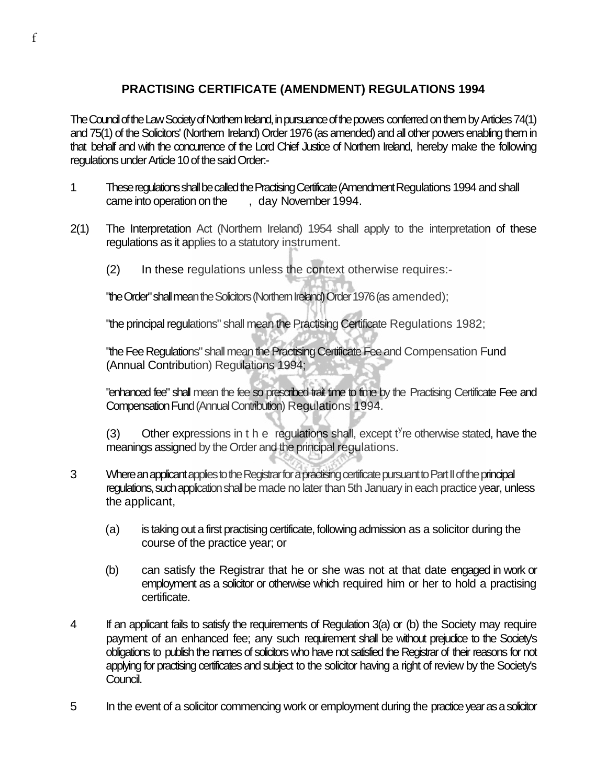## **PRACTISING CERTIFICATE (AMENDMENT) REGULATIONS 1994**

The Council of the Law Society of Northern Ireland, in pursuance of the powers conferred on them by Articles 74(1) and 75(1) of the Solicitors' (Northern Ireland) Order 1976 (as amended) and all other powers enabling them in that behalf and with the concurrence of the Lord Chief Justice of Northern Ireland, hereby make the following regulations under Article 10 of the said Order:-

- 1 These regulations shall be called the Practising Certificate (Amendment Regulations 1994 and shall came into operation on the , day November 1994.
- 2(1) The Interpretation Act (Northern Ireland) 1954 shall apply to the interpretation of these regulations as it applies to a statutory instrument.
	- (2) In these regulations unless the context otherwise requires:-

"the Order" shall mean the Solicitors (Northern Ireland) Order 1976 (as amended);

"the principal regulations" shall mean the Practising Certificate Regulations 1982;

"the Fee Regulations" shall mean the Practising Certificate Fee and Compensation Fund (Annual Contribution) Regulations 1994;

"enhanced fee" shall mean the fee so prescribed trait time to time by the Practising Certificate Fee and Compensation Fund (Annual Contribution) Regulations 1994.

(3) Other expressions in t h e regulations shall, except  $t^y$ re otherwise stated, have the meanings assigned by the Order and the principal regulations.

- 3 Where an applicant applies to the Registrar for a practising certificate pursuant to Part II of the principal regulations, such application shall be made no later than 5th January in each practice year, unless the applicant,
	- (a) is taking out a first practising certificate, following admission as a solicitor during the course of the practice year; or
	- (b) can satisfy the Registrar that he or she was not at that date engaged in work or employment as a solicitor or otherwise which required him or her to hold a practising certificate.
- 4 If an applicant fails to satisfy the requirements of Regulation 3(a) or (b) the Society may require payment of an enhanced fee; any such requirement shall be without prejudice to the Society's obligations to publish the names of solicitors who have not satisfied the Registrar of their reasons for not applying for practising certificates and subject to the solicitor having a right of review by the Society's Council.
- 5 In the event of a solicitor commencing work or employment during the practice year as a solicitor